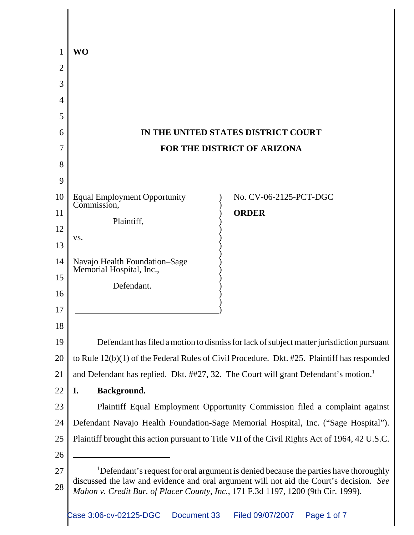| 1             | WO                                                                                                                                                                           |
|---------------|------------------------------------------------------------------------------------------------------------------------------------------------------------------------------|
| 2             |                                                                                                                                                                              |
| 3             |                                                                                                                                                                              |
| 4             |                                                                                                                                                                              |
| 5             |                                                                                                                                                                              |
| $\mathfrak b$ | IN THE UNITED STATES DISTRICT COURT                                                                                                                                          |
| 7             | FOR THE DISTRICT OF ARIZONA                                                                                                                                                  |
| 8             |                                                                                                                                                                              |
| 9             |                                                                                                                                                                              |
| 10            | <b>Equal Employment Opportunity</b><br>No. CV-06-2125-PCT-DGC<br>Commission,                                                                                                 |
| 11            | <b>ORDER</b><br>Plaintiff,                                                                                                                                                   |
| 12            | VS.                                                                                                                                                                          |
| 13            |                                                                                                                                                                              |
| 14            | Navajo Health Foundation-Sage<br>Memorial Hospital, Inc.,                                                                                                                    |
| 15            | Defendant.                                                                                                                                                                   |
| 16            |                                                                                                                                                                              |
| 17            |                                                                                                                                                                              |
| 18            |                                                                                                                                                                              |
| 19            | Defendant has filed a motion to dismiss for lack of subject matter jurisdiction pursuant                                                                                     |
| 20            | to Rule 12(b)(1) of the Federal Rules of Civil Procedure. Dkt. #25. Plaintiff has responded                                                                                  |
| 21            | and Defendant has replied. Dkt. ##27, 32. The Court will grant Defendant's motion. <sup>1</sup>                                                                              |
| 22            | Background.<br>I.                                                                                                                                                            |
| 23            | Plaintiff Equal Employment Opportunity Commission filed a complaint against                                                                                                  |
| 24            | Defendant Navajo Health Foundation-Sage Memorial Hospital, Inc. ("Sage Hospital").                                                                                           |
| 25            | Plaintiff brought this action pursuant to Title VII of the Civil Rights Act of 1964, 42 U.S.C.                                                                               |
| 26            |                                                                                                                                                                              |
| 27            | <sup>1</sup> Defendant's request for oral argument is denied because the parties have thoroughly                                                                             |
| 28            | discussed the law and evidence and oral argument will not aid the Court's decision. See<br>Mahon v. Credit Bur. of Placer County, Inc., 171 F.3d 1197, 1200 (9th Cir. 1999). |
|               |                                                                                                                                                                              |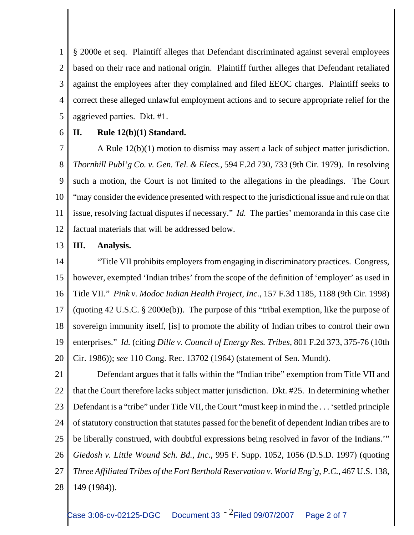1 2 3 4 5 § 2000e et seq. Plaintiff alleges that Defendant discriminated against several employees based on their race and national origin. Plaintiff further alleges that Defendant retaliated against the employees after they complained and filed EEOC charges. Plaintiff seeks to correct these alleged unlawful employment actions and to secure appropriate relief for the aggrieved parties. Dkt. #1.

6

## **II. Rule 12(b)(1) Standard.**

7 8 9 10 11 12 A Rule 12(b)(1) motion to dismiss may assert a lack of subject matter jurisdiction. *Thornhill Publ'g Co. v. Gen. Tel. & Elecs.*, 594 F.2d 730, 733 (9th Cir. 1979). In resolving such a motion, the Court is not limited to the allegations in the pleadings. The Court "may consider the evidence presented with respect to the jurisdictional issue and rule on that issue, resolving factual disputes if necessary." *Id.* The parties' memoranda in this case cite factual materials that will be addressed below.

## 13 **III. Analysis.**

14 15 16 17 18 19 20 "Title VII prohibits employers from engaging in discriminatory practices. Congress, however, exempted 'Indian tribes' from the scope of the definition of 'employer' as used in Title VII." *Pink v. Modoc Indian Health Project, Inc.*, 157 F.3d 1185, 1188 (9th Cir. 1998) (quoting 42 U.S.C. § 2000e(b)). The purpose of this "tribal exemption, like the purpose of sovereign immunity itself, [is] to promote the ability of Indian tribes to control their own enterprises." *Id.* (citing *Dille v. Council of Energy Res. Tribes*, 801 F.2d 373, 375-76 (10th Cir. 1986)); *see* 110 Cong. Rec. 13702 (1964) (statement of Sen. Mundt).

21 22 23 24 25 26 27 28 Defendant argues that it falls within the "Indian tribe" exemption from Title VII and that the Court therefore lacks subject matter jurisdiction. Dkt. #25. In determining whether Defendant is a "tribe" under Title VII, the Court "must keep in mind the . . . 'settled principle of statutory construction that statutes passed for the benefit of dependent Indian tribes are to be liberally construed, with doubtful expressions being resolved in favor of the Indians.'" *Giedosh v. Little Wound Sch. Bd., Inc.*, 995 F. Supp. 1052, 1056 (D.S.D. 1997) (quoting *Three Affiliated Tribes of the Fort Berthold Reservation v. World Eng'g, P.C.*, 467 U.S. 138, 149 (1984)).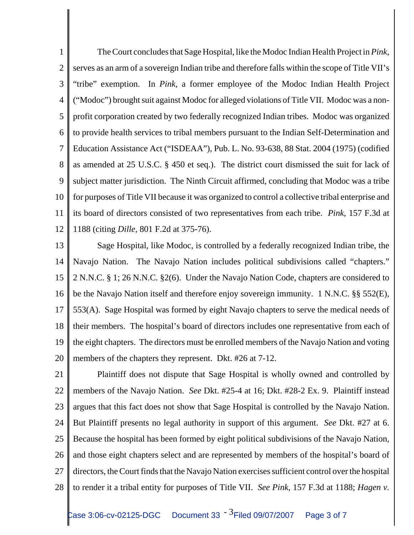1 2 3 4 5 6 7 8 9 10 11 12 The Court concludes that Sage Hospital, like the Modoc Indian Health Project in *Pink*, serves as an arm of a sovereign Indian tribe and therefore falls within the scope of Title VII's "tribe" exemption. In *Pink*, a former employee of the Modoc Indian Health Project ("Modoc") brought suit against Modoc for alleged violations of Title VII. Modoc was a nonprofit corporation created by two federally recognized Indian tribes. Modoc was organized to provide health services to tribal members pursuant to the Indian Self-Determination and Education Assistance Act ("ISDEAA"), Pub. L. No. 93-638, 88 Stat. 2004 (1975) (codified as amended at 25 U.S.C. § 450 et seq.). The district court dismissed the suit for lack of subject matter jurisdiction. The Ninth Circuit affirmed, concluding that Modoc was a tribe for purposes of Title VII because it was organized to control a collective tribal enterprise and its board of directors consisted of two representatives from each tribe. *Pink*, 157 F.3d at 1188 (citing *Dille*, 801 F.2d at 375-76).

13 14 15 16 17 18 19 20 Sage Hospital, like Modoc, is controlled by a federally recognized Indian tribe, the Navajo Nation. The Navajo Nation includes political subdivisions called "chapters." 2 N.N.C. § 1; 26 N.N.C. §2(6). Under the Navajo Nation Code, chapters are considered to be the Navajo Nation itself and therefore enjoy sovereign immunity. 1 N.N.C. §§ 552(E), 553(A). Sage Hospital was formed by eight Navajo chapters to serve the medical needs of their members. The hospital's board of directors includes one representative from each of the eight chapters. The directors must be enrolled members of the Navajo Nation and voting members of the chapters they represent. Dkt. #26 at 7-12.

21 22 23 24 25 26 27 28 Plaintiff does not dispute that Sage Hospital is wholly owned and controlled by members of the Navajo Nation. *See* Dkt. #25-4 at 16; Dkt. #28-2 Ex. 9. Plaintiff instead argues that this fact does not show that Sage Hospital is controlled by the Navajo Nation. But Plaintiff presents no legal authority in support of this argument. *See* Dkt. #27 at 6. Because the hospital has been formed by eight political subdivisions of the Navajo Nation, and those eight chapters select and are represented by members of the hospital's board of directors, the Court finds that the Navajo Nation exercises sufficient control over the hospital to render it a tribal entity for purposes of Title VII. *See Pink*, 157 F.3d at 1188; *Hagen v.*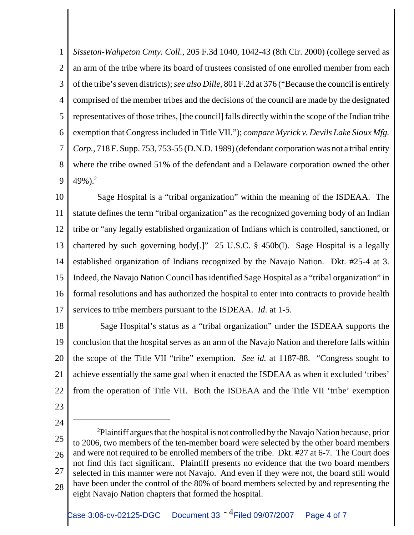1 2 3 4 5 6 7 8 9 *Sisseton-Wahpeton Cmty. Coll.*, 205 F.3d 1040, 1042-43 (8th Cir. 2000) (college served as an arm of the tribe where its board of trustees consisted of one enrolled member from each of the tribe's seven districts); *see also Dille*, 801 F.2d at 376 ("Because the council is entirely comprised of the member tribes and the decisions of the council are made by the designated representatives of those tribes, [the council] falls directly within the scope of the Indian tribe exemption that Congress included in Title VII."); *compare Myrick v. Devils Lake Sioux Mfg. Corp.*, 718 F. Supp. 753, 753-55 (D.N.D. 1989) (defendant corporation was not a tribal entity where the tribe owned 51% of the defendant and a Delaware corporation owned the other 49%).<sup>2</sup>

10 11 12 13 14 15 16 17 Sage Hospital is a "tribal organization" within the meaning of the ISDEAA. The statute defines the term "tribal organization" as the recognized governing body of an Indian tribe or "any legally established organization of Indians which is controlled, sanctioned, or chartered by such governing body[.]" 25 U.S.C. § 450b(l). Sage Hospital is a legally established organization of Indians recognized by the Navajo Nation. Dkt. #25-4 at 3. Indeed, the Navajo Nation Council has identified Sage Hospital as a "tribal organization" in formal resolutions and has authorized the hospital to enter into contracts to provide health services to tribe members pursuant to the ISDEAA. *Id*. at 1-5.

18 19 20 21 22 Sage Hospital's status as a "tribal organization" under the ISDEAA supports the conclusion that the hospital serves as an arm of the Navajo Nation and therefore falls within the scope of the Title VII "tribe" exemption. *See id.* at 1187-88. "Congress sought to achieve essentially the same goal when it enacted the ISDEAA as when it excluded 'tribes' from the operation of Title VII. Both the ISDEAA and the Title VII 'tribe' exemption

- 23
- 24

<sup>25</sup> 26 27 28  $2$ Plaintiff argues that the hospital is not controlled by the Navajo Nation because, prior to 2006, two members of the ten-member board were selected by the other board members and were not required to be enrolled members of the tribe. Dkt. #27 at 6-7. The Court does not find this fact significant. Plaintiff presents no evidence that the two board members selected in this manner were not Navajo. And even if they were not, the board still would have been under the control of the 80% of board members selected by and representing the eight Navajo Nation chapters that formed the hospital.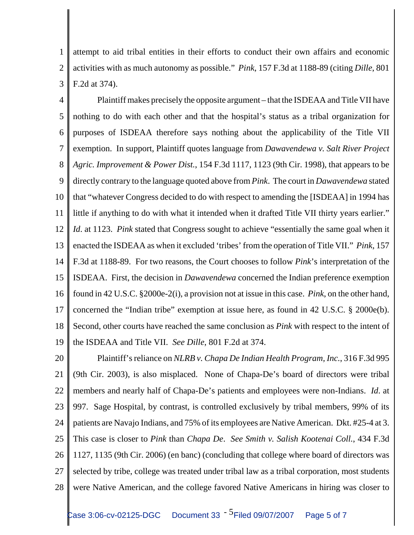1 2 3 attempt to aid tribal entities in their efforts to conduct their own affairs and economic activities with as much autonomy as possible." *Pink*, 157 F.3d at 1188-89 (citing *Dille*, 801 F.2d at 374).

4 5 6 7 8 9 10 11 12 13 14 15 16 17 18 19 Plaintiff makes precisely the opposite argument – that the ISDEAA and Title VII have nothing to do with each other and that the hospital's status as a tribal organization for purposes of ISDEAA therefore says nothing about the applicability of the Title VII exemption. In support, Plaintiff quotes language from *Dawavendewa v. Salt River Project Agric. Improvement & Power Dist.*, 154 F.3d 1117, 1123 (9th Cir. 1998), that appears to be directly contrary to the language quoted above from *Pink*. The court in *Dawavendewa* stated that "whatever Congress decided to do with respect to amending the [ISDEAA] in 1994 has little if anything to do with what it intended when it drafted Title VII thirty years earlier." *Id*. at 1123. *Pink* stated that Congress sought to achieve "essentially the same goal when it enacted the ISDEAA as when it excluded 'tribes' from the operation of Title VII." *Pink*, 157 F.3d at 1188-89. For two reasons, the Court chooses to follow *Pink*'s interpretation of the ISDEAA. First, the decision in *Dawavendewa* concerned the Indian preference exemption found in 42 U.S.C. §2000e-2(i), a provision not at issue in this case. *Pink*, on the other hand, concerned the "Indian tribe" exemption at issue here, as found in 42 U.S.C. § 2000e(b). Second, other courts have reached the same conclusion as *Pink* with respect to the intent of the ISDEAA and Title VII. *See Dille*, 801 F.2d at 374.

20 21 22 23 24 25 26 27 28 Plaintiff's reliance on *NLRB v. Chapa De Indian Health Program, Inc.*, 316 F.3d 995 (9th Cir. 2003), is also misplaced. None of Chapa-De's board of directors were tribal members and nearly half of Chapa-De's patients and employees were non-Indians. *Id*. at 997. Sage Hospital, by contrast, is controlled exclusively by tribal members, 99% of its patients are Navajo Indians, and 75% of its employees are Native American. Dkt. #25-4 at 3. This case is closer to *Pink* than *Chapa De*. *See Smith v. Salish Kootenai Coll.*, 434 F.3d 1127, 1135 (9th Cir. 2006) (en banc) (concluding that college where board of directors was selected by tribe, college was treated under tribal law as a tribal corporation, most students were Native American, and the college favored Native Americans in hiring was closer to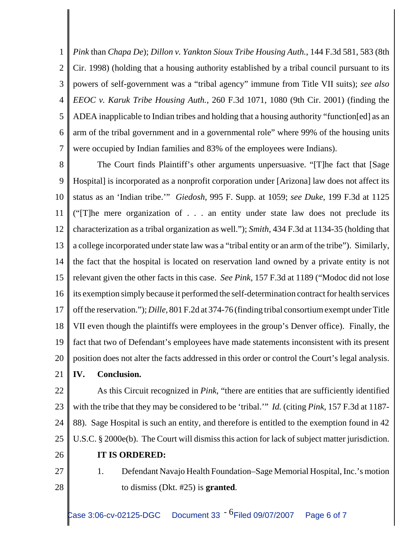1 2 3 4 5 6 7 *Pink* than *Chapa De*); *Dillon v. Yankton Sioux Tribe Housing Auth.*, 144 F.3d 581, 583 (8th Cir. 1998) (holding that a housing authority established by a tribal council pursuant to its powers of self-government was a "tribal agency" immune from Title VII suits); *see also EEOC v. Karuk Tribe Housing Auth.*, 260 F.3d 1071, 1080 (9th Cir. 2001) (finding the ADEA inapplicable to Indian tribes and holding that a housing authority "function[ed] as an arm of the tribal government and in a governmental role" where 99% of the housing units were occupied by Indian families and 83% of the employees were Indians).

8 9 10 11 12 13 14 15 16 17 18 19 20 The Court finds Plaintiff's other arguments unpersuasive. "[T]he fact that [Sage Hospital] is incorporated as a nonprofit corporation under [Arizona] law does not affect its status as an 'Indian tribe.'" *Giedosh*, 995 F. Supp. at 1059; *see Duke*, 199 F.3d at 1125 ("[T]he mere organization of . . . an entity under state law does not preclude its characterization as a tribal organization as well."); *Smith*, 434 F.3d at 1134-35 (holding that a college incorporated under state law was a "tribal entity or an arm of the tribe"). Similarly, the fact that the hospital is located on reservation land owned by a private entity is not relevant given the other facts in this case. *See Pink*, 157 F.3d at 1189 ("Modoc did not lose its exemption simply because it performed the self-determination contract for health services off the reservation."); *Dille*, 801 F.2d at 374-76 (finding tribal consortium exempt under Title VII even though the plaintiffs were employees in the group's Denver office). Finally, the fact that two of Defendant's employees have made statements inconsistent with its present position does not alter the facts addressed in this order or control the Court's legal analysis.

21 **IV. Conclusion.**

22 23 24 25 As this Circuit recognized in *Pink*, "there are entities that are sufficiently identified with the tribe that they may be considered to be 'tribal.'" *Id.* (citing *Pink*, 157 F.3d at 1187- 88). Sage Hospital is such an entity, and therefore is entitled to the exemption found in 42 U.S.C. § 2000e(b). The Court will dismiss this action for lack of subject matter jurisdiction.

- 26
- **IT IS ORDERED:**
- 27 28

1. Defendant Navajo Health Foundation–Sage Memorial Hospital, Inc.'s motion to dismiss (Dkt. #25) is **granted**.